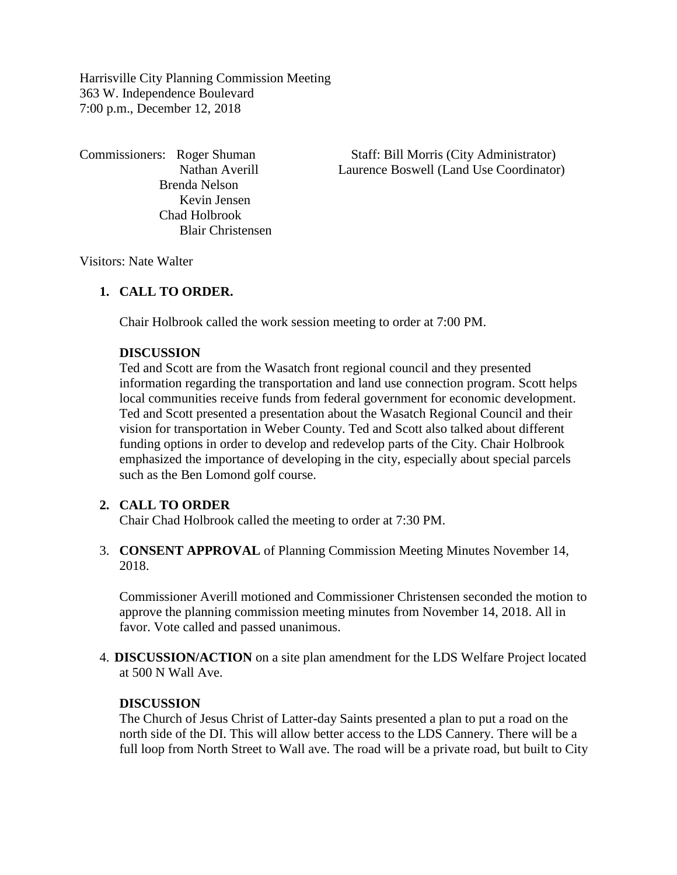Harrisville City Planning Commission Meeting 363 W. Independence Boulevard 7:00 p.m., December 12, 2018

 Brenda Nelson Kevin Jensen Chad Holbrook Blair Christensen

Commissioners: Roger Shuman Staff: Bill Morris (City Administrator) Nathan Averill Laurence Boswell (Land Use Coordinator)

Visitors: Nate Walter

# **1. CALL TO ORDER.**

Chair Holbrook called the work session meeting to order at 7:00 PM.

### **DISCUSSION**

Ted and Scott are from the Wasatch front regional council and they presented information regarding the transportation and land use connection program. Scott helps local communities receive funds from federal government for economic development. Ted and Scott presented a presentation about the Wasatch Regional Council and their vision for transportation in Weber County. Ted and Scott also talked about different funding options in order to develop and redevelop parts of the City. Chair Holbrook emphasized the importance of developing in the city, especially about special parcels such as the Ben Lomond golf course.

## **2. CALL TO ORDER**

Chair Chad Holbrook called the meeting to order at 7:30 PM.

3. **CONSENT APPROVAL** of Planning Commission Meeting Minutes November 14, 2018.

Commissioner Averill motioned and Commissioner Christensen seconded the motion to approve the planning commission meeting minutes from November 14, 2018. All in favor. Vote called and passed unanimous.

4. **DISCUSSION/ACTION** on a site plan amendment for the LDS Welfare Project located at 500 N Wall Ave.

#### **DISCUSSION**

The Church of Jesus Christ of Latter-day Saints presented a plan to put a road on the north side of the DI. This will allow better access to the LDS Cannery. There will be a full loop from North Street to Wall ave. The road will be a private road, but built to City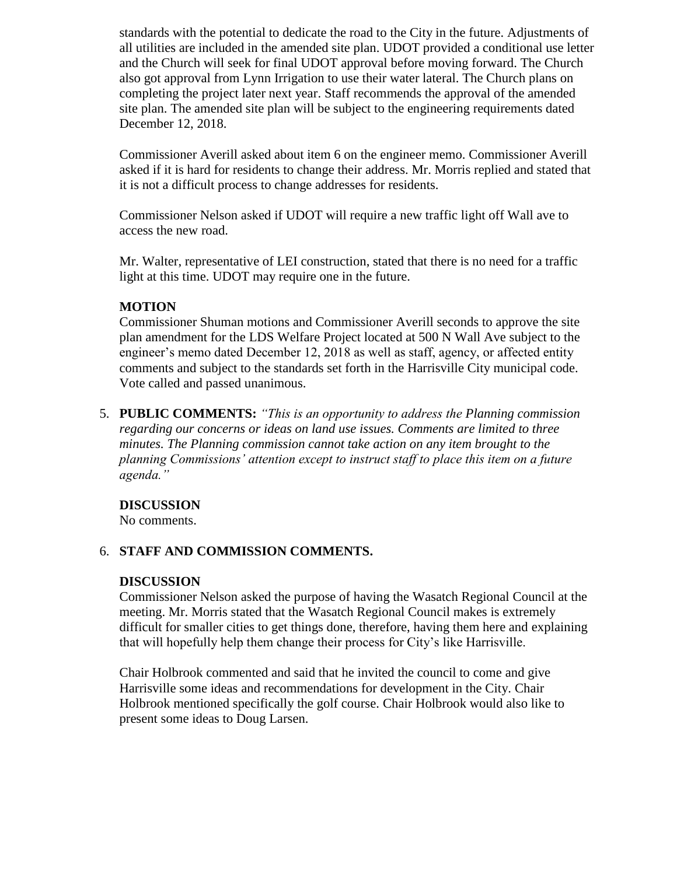standards with the potential to dedicate the road to the City in the future. Adjustments of all utilities are included in the amended site plan. UDOT provided a conditional use letter and the Church will seek for final UDOT approval before moving forward. The Church also got approval from Lynn Irrigation to use their water lateral. The Church plans on completing the project later next year. Staff recommends the approval of the amended site plan. The amended site plan will be subject to the engineering requirements dated December 12, 2018.

Commissioner Averill asked about item 6 on the engineer memo. Commissioner Averill asked if it is hard for residents to change their address. Mr. Morris replied and stated that it is not a difficult process to change addresses for residents.

Commissioner Nelson asked if UDOT will require a new traffic light off Wall ave to access the new road.

Mr. Walter, representative of LEI construction, stated that there is no need for a traffic light at this time. UDOT may require one in the future.

# **MOTION**

Commissioner Shuman motions and Commissioner Averill seconds to approve the site plan amendment for the LDS Welfare Project located at 500 N Wall Ave subject to the engineer's memo dated December 12, 2018 as well as staff, agency, or affected entity comments and subject to the standards set forth in the Harrisville City municipal code. Vote called and passed unanimous.

5. **PUBLIC COMMENTS:** *"This is an opportunity to address the Planning commission regarding our concerns or ideas on land use issues. Comments are limited to three minutes. The Planning commission cannot take action on any item brought to the planning Commissions' attention except to instruct staff to place this item on a future agenda."*

## **DISCUSSION**

No comments.

## 6. **STAFF AND COMMISSION COMMENTS.**

#### **DISCUSSION**

Commissioner Nelson asked the purpose of having the Wasatch Regional Council at the meeting. Mr. Morris stated that the Wasatch Regional Council makes is extremely difficult for smaller cities to get things done, therefore, having them here and explaining that will hopefully help them change their process for City's like Harrisville.

Chair Holbrook commented and said that he invited the council to come and give Harrisville some ideas and recommendations for development in the City. Chair Holbrook mentioned specifically the golf course. Chair Holbrook would also like to present some ideas to Doug Larsen.